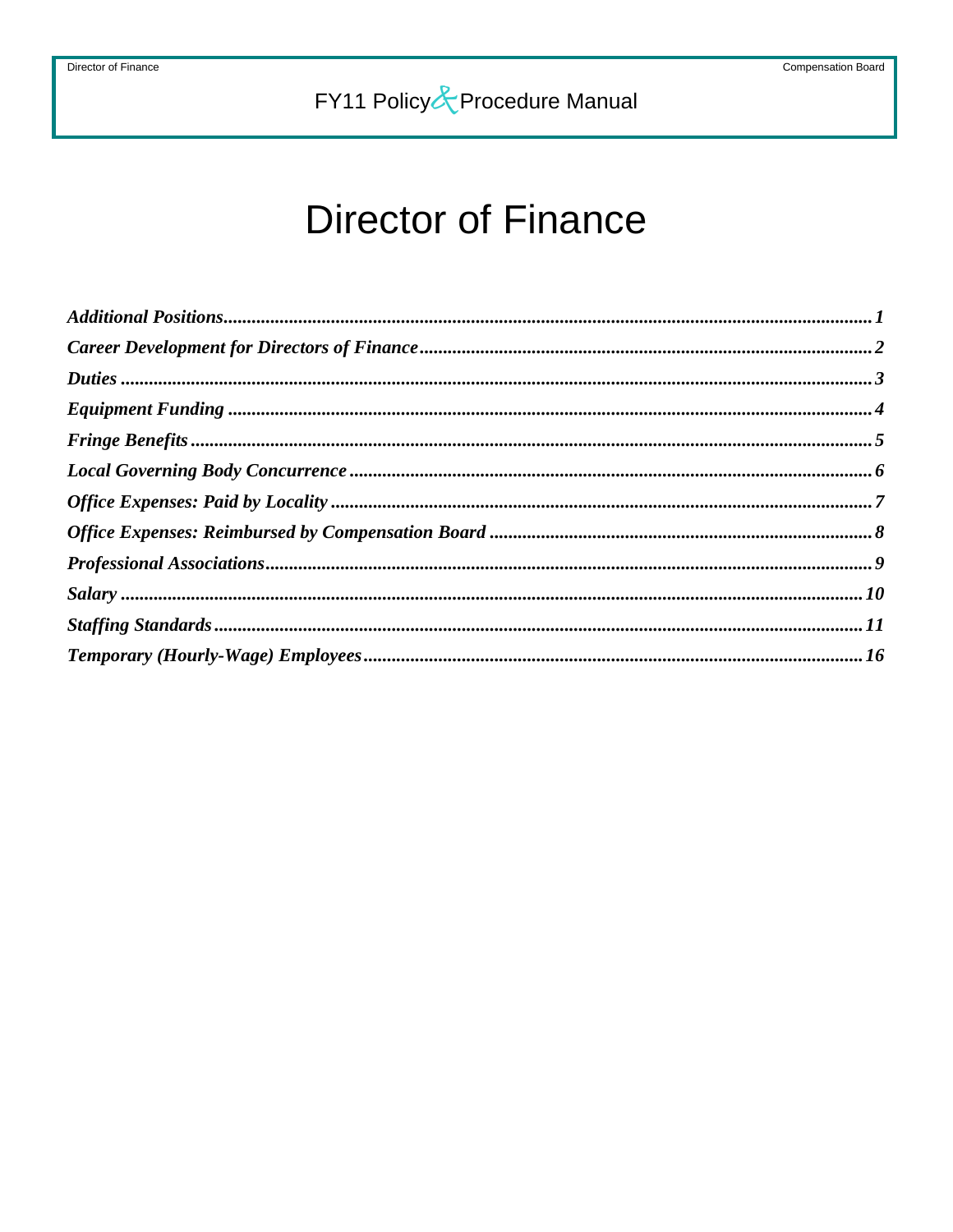# **Director of Finance**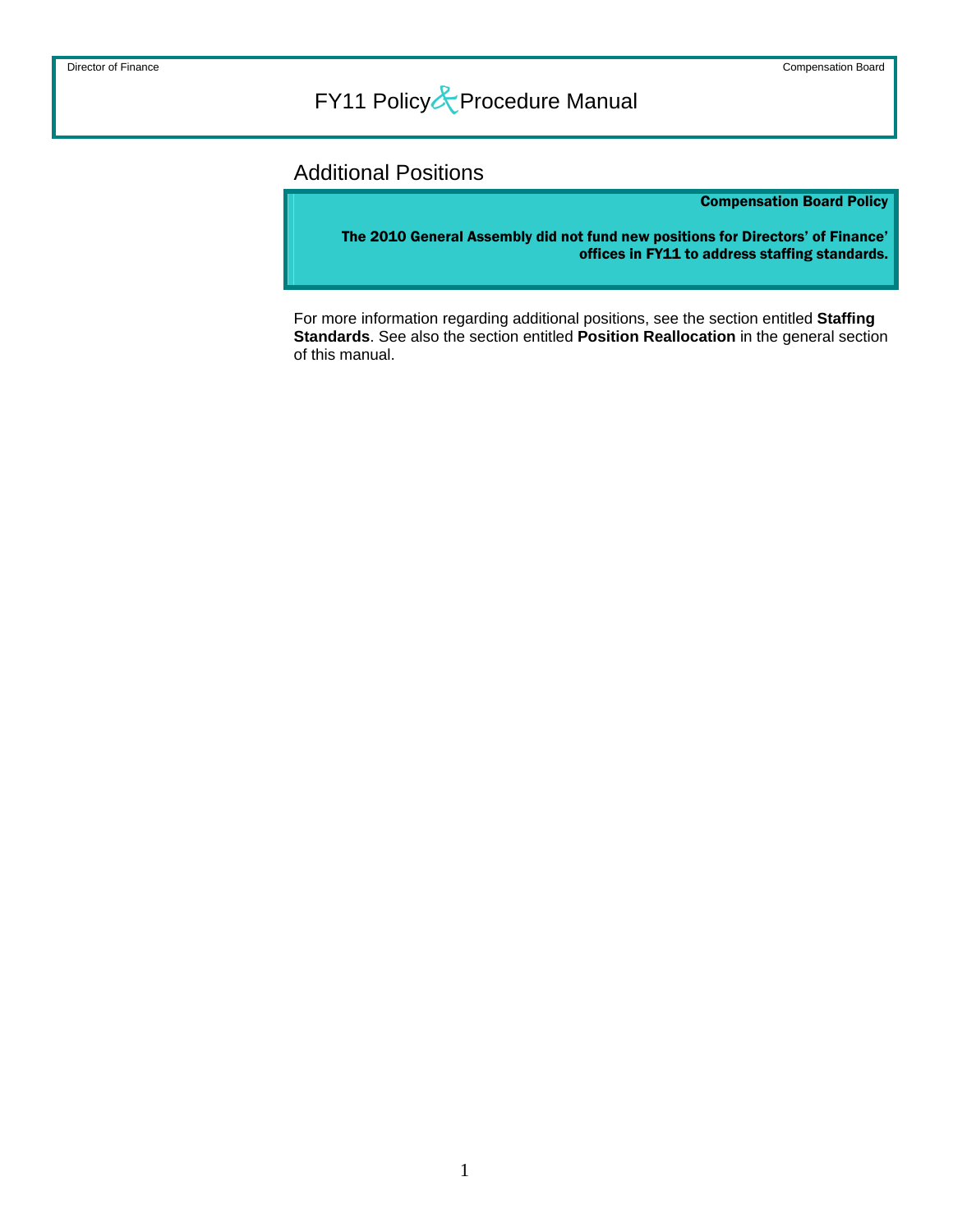### <span id="page-1-0"></span>Additional Positions

Compensation Board Policy

The 2010 General Assembly did not fund new positions for Directors' of Finance' offices in FY11 to address staffing standards.

For more information regarding additional positions, see the section entitled **Staffing Standards**. See also the section entitled **Position Reallocation** in the general section of this manual.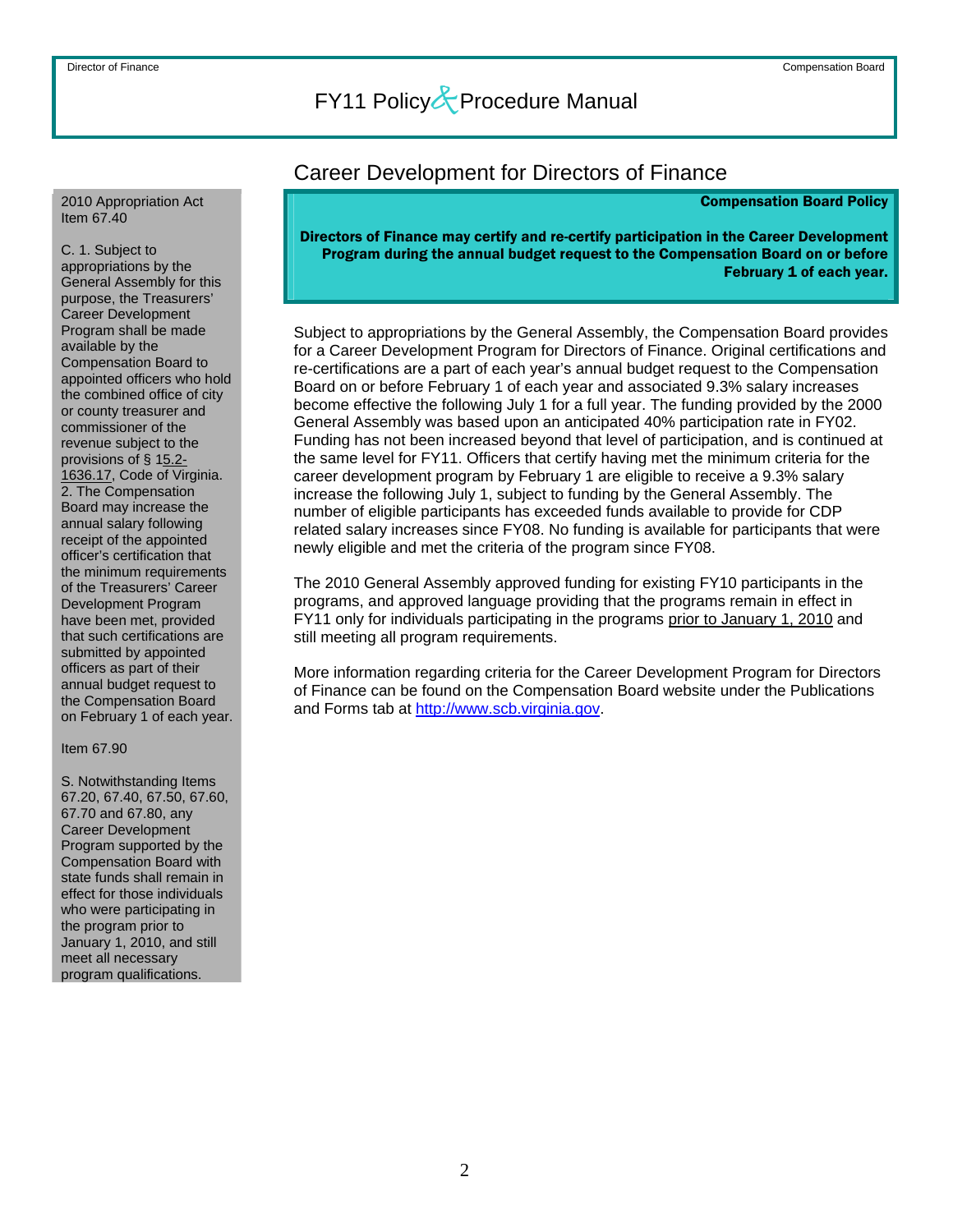#### <span id="page-2-0"></span>2010 Appropriation Act Item 67.40

C. 1. Subject to appropriations by the General Assembly for this purpose, the Treasurers' Career Development Program shall be made available by the Compensation Board to appointed officers who hold the combined office of city or county treasurer and commissioner of the revenue subject to the provisions of § 15.2- 1636.17, Code of Virginia. 2. The Compensation Board may increase the annual salary following receipt of the appointed officer's certification that the minimum requirements of the Treasurers' Career Development Program have been met, provided that such certifications are submitted by appointed officers as part of their annual budget request to the Compensation Board on February 1 of each year.

#### Item 67.90

S. Notwithstanding Items 67.20, 67.40, 67.50, 67.60, 67.70 and 67.80, any Career Development Program supported by the Compensation Board with state funds shall remain in effect for those individuals who were participating in the program prior to January 1, 2010, and still meet all necessary program qualifications.

### Career Development for Directors of Finance

#### Compensation Board Policy

#### Directors of Finance may certify and re-certify participation in the Career Development Program during the annual budget request to the Compensation Board on or before February 1 of each year.

Subject to appropriations by the General Assembly, the Compensation Board provides for a Career Development Program for Directors of Finance. Original certifications and re-certifications are a part of each year's annual budget request to the Compensation Board on or before February 1 of each year and associated 9.3% salary increases become effective the following July 1 for a full year. The funding provided by the 2000 General Assembly was based upon an anticipated 40% participation rate in FY02. Funding has not been increased beyond that level of participation, and is continued at the same level for FY11. Officers that certify having met the minimum criteria for the career development program by February 1 are eligible to receive a 9.3% salary increase the following July 1, subject to funding by the General Assembly. The number of eligible participants has exceeded funds available to provide for CDP related salary increases since FY08. No funding is available for participants that were newly eligible and met the criteria of the program since FY08.

The 2010 General Assembly approved funding for existing FY10 participants in the programs, and approved language providing that the programs remain in effect in FY11 only for individuals participating in the programs prior to January 1, 2010 and still meeting all program requirements.

More information regarding criteria for the Career Development Program for Directors of Finance can be found on the Compensation Board website under the Publications and Forms tab at [http://www.scb.virginia.gov.](http://www.scb.virginia.gov/)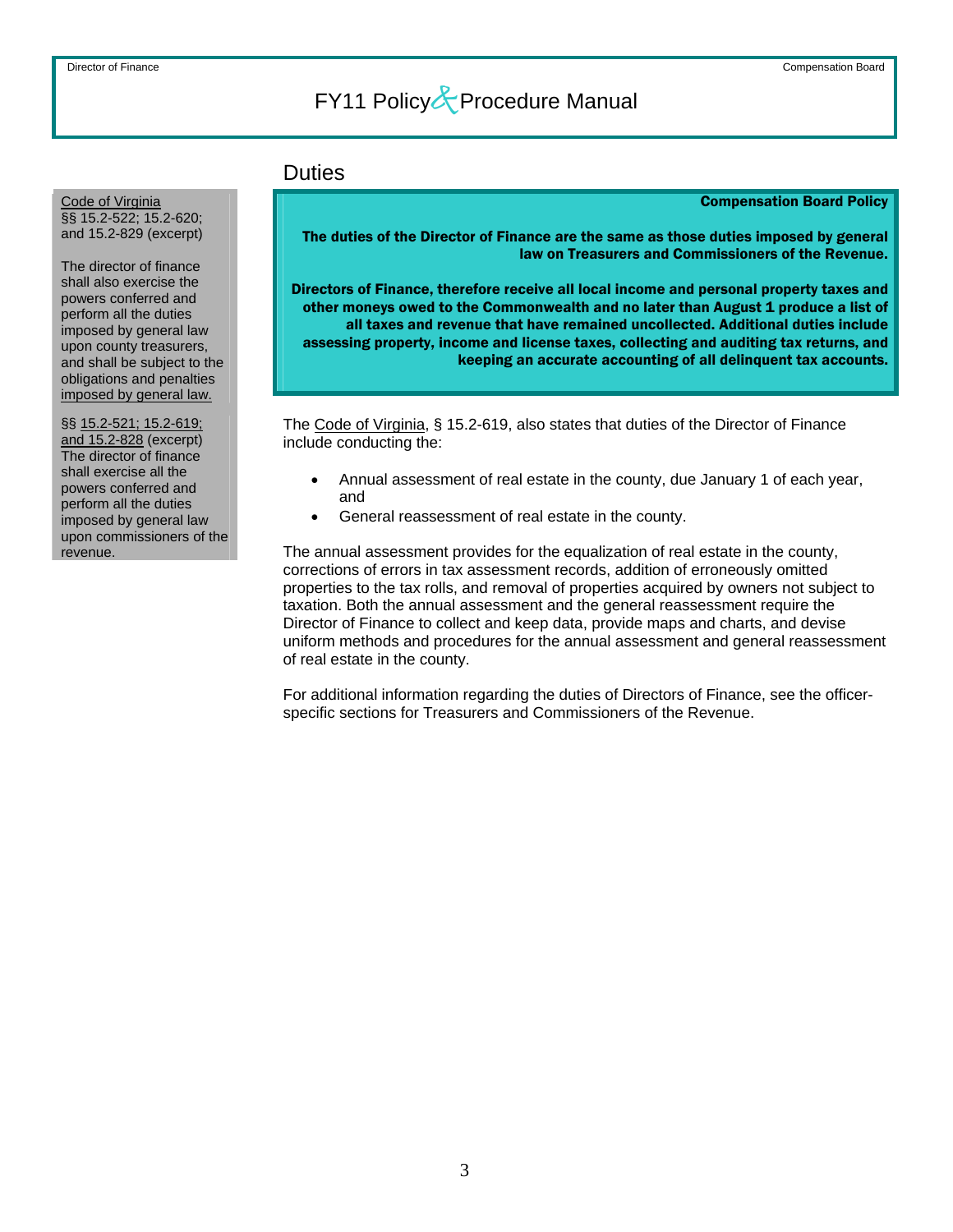### **Duties**

Compensation Board Policy

The duties of the Director of Finance are the same as those duties imposed by general law on Treasurers and Commissioners of the Revenue.

Directors of Finance, therefore receive all local income and personal property taxes and other moneys owed to the Commonwealth and no later than August 1 produce a list of all taxes and revenue that have remained uncollected. Additional duties include assessing property, income and license taxes, collecting and auditing tax returns, and keeping an accurate accounting of all delinquent tax accounts.

The Code of Virginia, § 15.2-619, also states that duties of the Director of Finance include conducting the:

- Annual assessment of real estate in the county, due January 1 of each year, and
- General reassessment of real estate in the county.

The annual assessment provides for the equalization of real estate in the county, corrections of errors in tax assessment records, addition of erroneously omitted properties to the tax rolls, and removal of properties acquired by owners not subject to taxation. Both the annual assessment and the general reassessment require the Director of Finance to collect and keep data, provide maps and charts, and devise uniform methods and procedures for the annual assessment and general reassessment of real estate in the county.

For additional information regarding the duties of Directors of Finance, see the officerspecific sections for Treasurers and Commissioners of the Revenue.

<span id="page-3-0"></span>Code of Virginia §§ 15.2-522; 15.2-620; and 15.2-829 (excerpt)

The director of finance shall also exercise the powers conferred and perform all the duties imposed by general law upon county treasurers, and shall be subject to the obligations and penalties imposed by general law.

§§ 15.2-521; 15.2-619; and 15.2-828 (excerpt) The director of finance shall exercise all the powers conferred and perform all the duties imposed by general law upon commissioners of the revenue.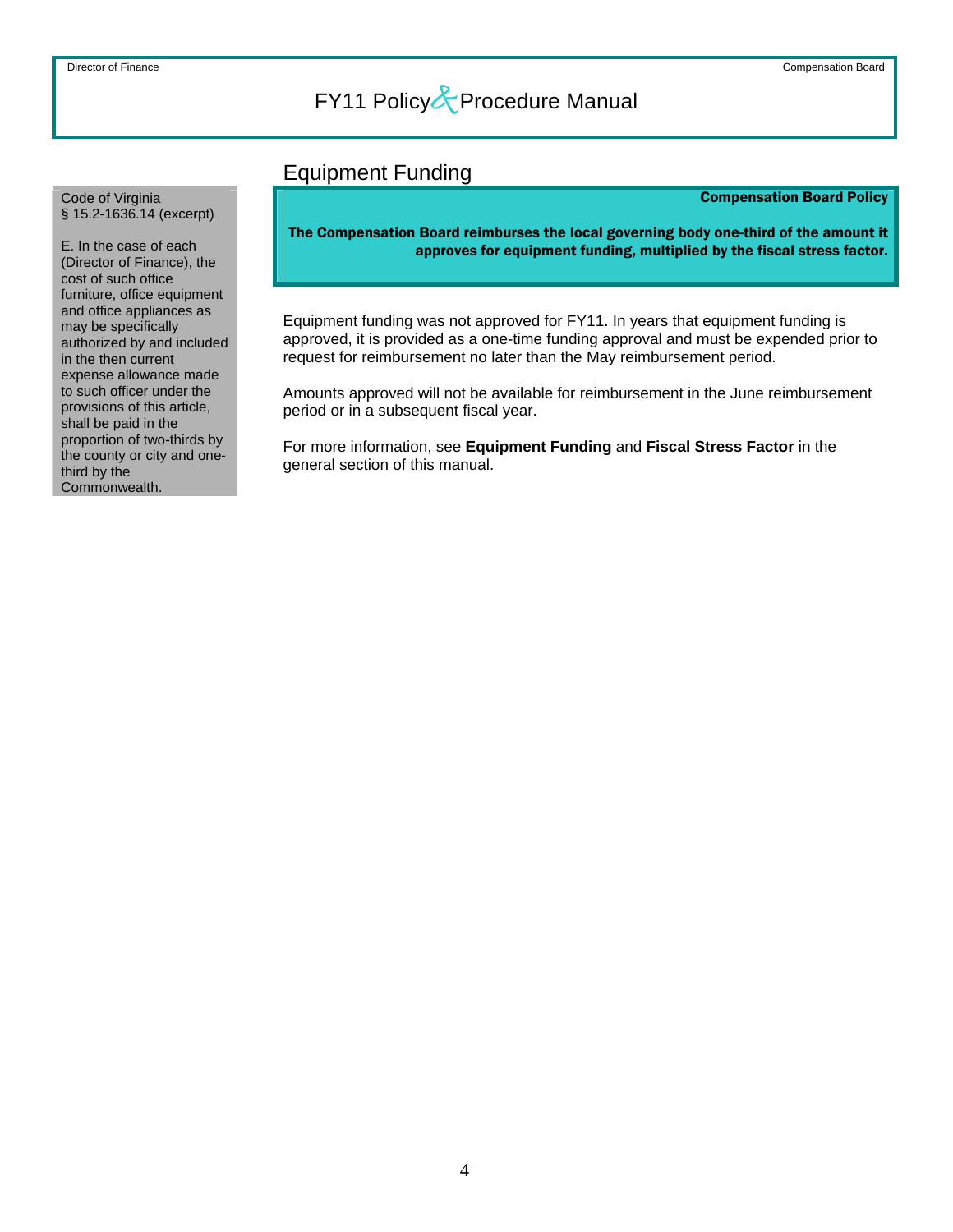### Equipment Funding

#### Compensation Board Policy

<span id="page-4-0"></span>Code of Virginia § 15.2-1636.14 (excerpt)

E. In the case of each (Director of Finance), the cost of such office furniture, office equipment and office appliances as may be specifically authorized by and included in the then current expense allowance made to such officer under the provisions of this article, shall be paid in the proportion of two-thirds by the county or city and onethird by the Commonwealth.

The Compensation Board reimburses the local governing body one-third of the amount it approves for equipment funding, multiplied by the fiscal stress factor.

Equipment funding was not approved for FY11. In years that equipment funding is approved, it is provided as a one-time funding approval and must be expended prior to request for reimbursement no later than the May reimbursement period.

Amounts approved will not be available for reimbursement in the June reimbursement period or in a subsequent fiscal year.

For more information, see **Equipment Funding** and **Fiscal Stress Factor** in the general section of this manual.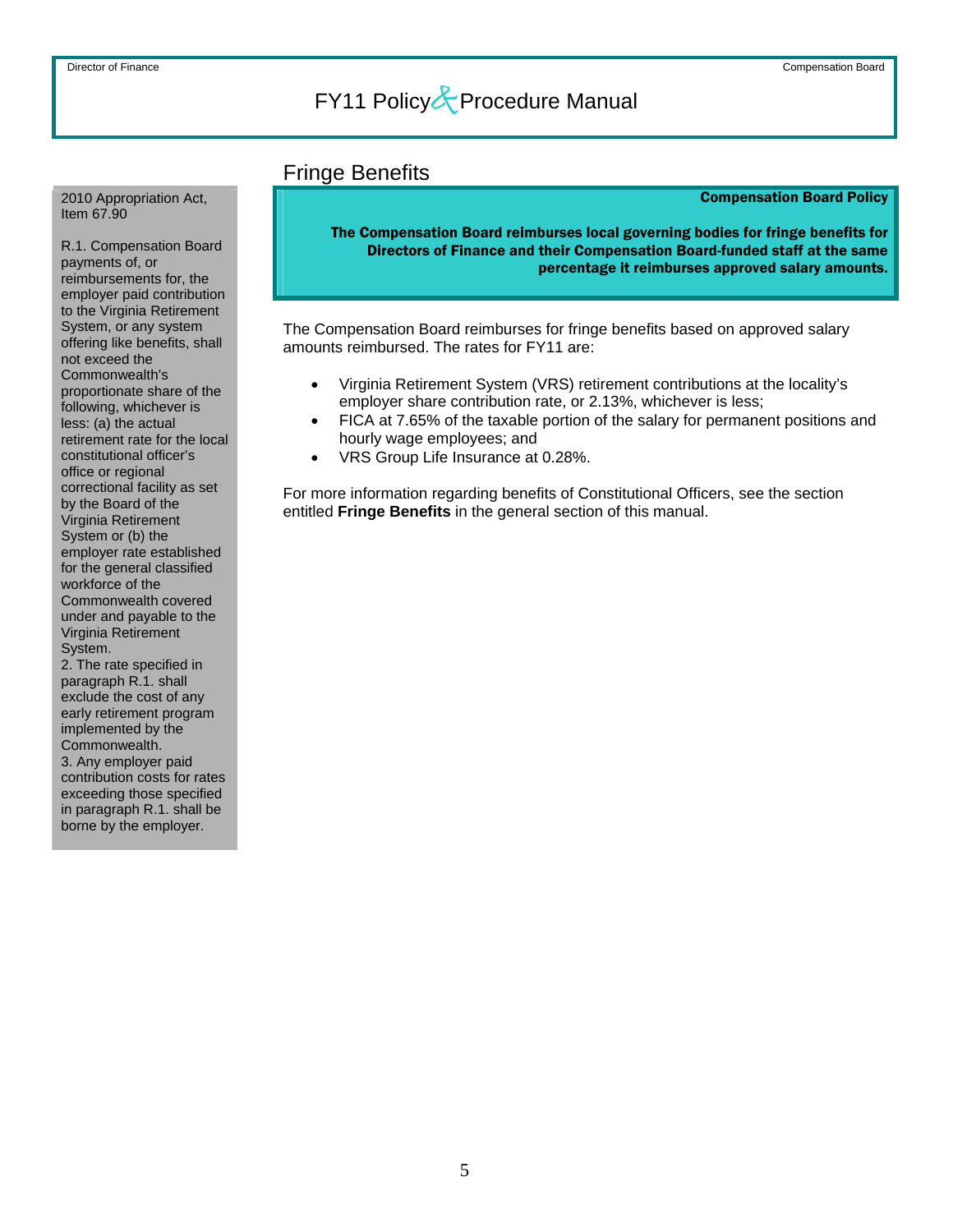### Fringe Benefits

#### Compensation Board Policy

The Compensation Board reimburses local governing bodies for fringe benefits for Directors of Finance and their Compensation Board-funded staff at the same percentage it reimburses approved salary amounts.

The Compensation Board reimburses for fringe benefits based on approved salary amounts reimbursed. The rates for FY11 are:

- Virginia Retirement System (VRS) retirement contributions at the locality's employer share contribution rate, or 2.13%, whichever is less;
- FICA at 7.65% of the taxable portion of the salary for permanent positions and hourly wage employees; and
- VRS Group Life Insurance at 0.28%.

For more information regarding benefits of Constitutional Officers, see the section entitled **Fringe Benefits** in the general section of this manual.

<span id="page-5-0"></span>2010 Appropriation Act, Item 67.90

R.1. Compensation Board payments of, or reimbursements for, the employer paid contribution to the Virginia Retirement System, or any system offering like benefits, shall not exceed the Commonwealth's proportionate share of the following, whichever is less: (a) the actual retirement rate for the local constitutional officer's office or regional correctional facility as set by the Board of the Virginia Retirement System or (b) the employer rate established for the general classified workforce of the Commonwealth covered under and payable to the Virginia Retirement System.

2. The rate specified in paragraph R.1. shall exclude the cost of any early retirement program implemented by the Commonwealth. 3. Any employer paid contribution costs for rates exceeding those specified in paragraph R.1. shall be borne by the employer.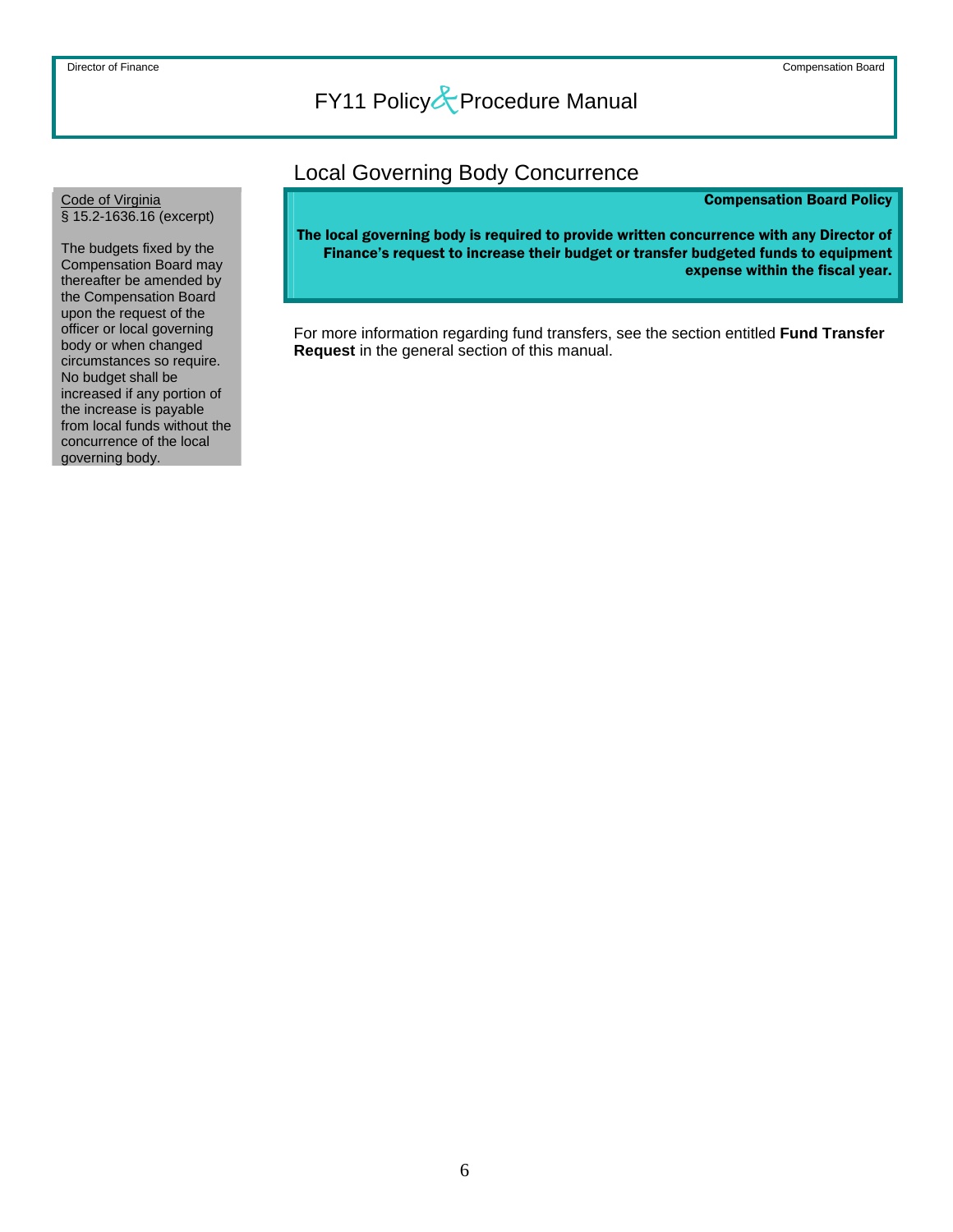### Local Governing Body Concurrence

#### Compensation Board Policy

The local governing body is required to provide written concurrence with any Director of Finance's request to increase their budget or transfer budgeted funds to equipment expense within the fiscal year.

For more information regarding fund transfers, see the section entitled **Fund Transfer Request** in the general section of this manual.

<span id="page-6-0"></span>Code of Virginia § 15.2-1636.16 (excerpt)

The budgets fixed by the Compensation Board may thereafter be amended by the Compensation Board upon the request of the officer or local governing body or when changed circumstances so require. No budget shall be increased if any portion of the increase is payable from local funds without the concurrence of the local governing body.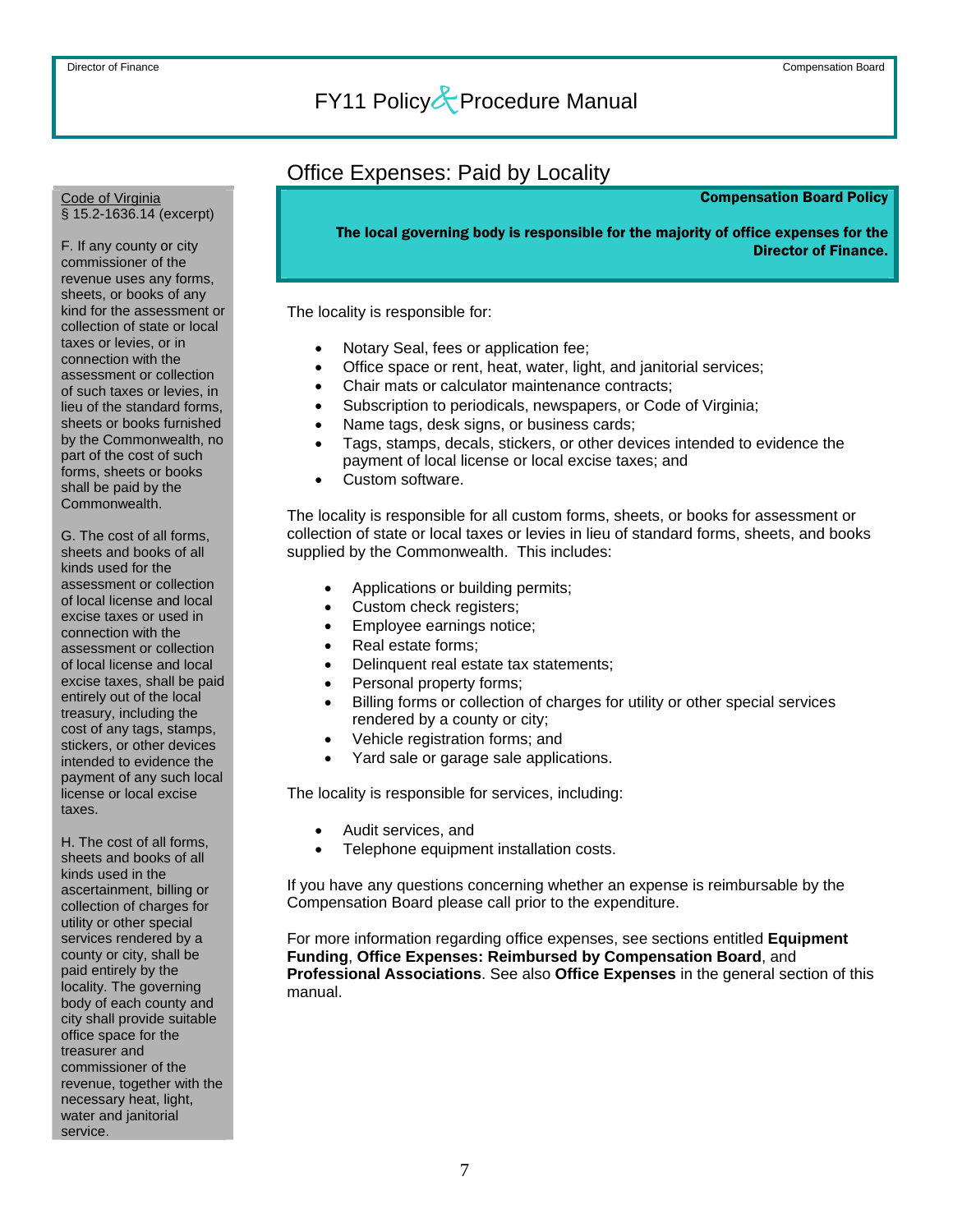### Office Expenses: Paid by Locality

#### Compensation Board Policy

The local governing body is responsible for the majority of office expenses for the

Director of Finance.

The locality is responsible for:

- Notary Seal, fees or application fee;
- Office space or rent, heat, water, light, and janitorial services;
- Chair mats or calculator maintenance contracts;
- Subscription to periodicals, newspapers, or Code of Virginia;
	- Name tags, desk signs, or business cards;
	- Tags, stamps, decals, stickers, or other devices intended to evidence the payment of local license or local excise taxes; and
- Custom software.

The locality is responsible for all custom forms, sheets, or books for assessment or collection of state or local taxes or levies in lieu of standard forms, sheets, and books supplied by the Commonwealth. This includes:

- Applications or building permits;
- Custom check registers;
- Employee earnings notice;
- Real estate forms;
- Delinquent real estate tax statements;
- Personal property forms;
- Billing forms or collection of charges for utility or other special services rendered by a county or city;
- Vehicle registration forms; and
- Yard sale or garage sale applications.

The locality is responsible for services, including:

- Audit services, and
- Telephone equipment installation costs.

If you have any questions concerning whether an expense is reimbursable by the Compensation Board please call prior to the expenditure.

For more information regarding office expenses, see sections entitled **Equipment Funding**, **Office Expenses: Reimbursed by Compensation Board**, and **Professional Associations**. See also **Office Expenses** in the general section of this manual.

<span id="page-7-0"></span>Code of Virginia § 15.2-1636.14 (excerpt)

F. If any county or city commissioner of the revenue uses any forms, sheets, or books of any kind for the assessment or collection of state or local taxes or levies, or in connection with the assessment or collection of such taxes or levies, in lieu of the standard forms, sheets or books furnished by the Commonwealth, no part of the cost of such forms, sheets or books shall be paid by the Commonwealth.

G. The cost of all forms, sheets and books of all kinds used for the assessment or collection of local license and local excise taxes or used in connection with the assessment or collection of local license and local excise taxes, shall be paid entirely out of the local treasury, including the cost of any tags, stamps, stickers, or other devices intended to evidence the payment of any such local license or local excise taxes.

H. The cost of all forms, sheets and books of all kinds used in the ascertainment, billing or collection of charges for utility or other special services rendered by a county or city, shall be paid entirely by the locality. The governing body of each county and city shall provide suitable office space for the treasurer and commissioner of the revenue, together with the necessary heat, light, water and janitorial service.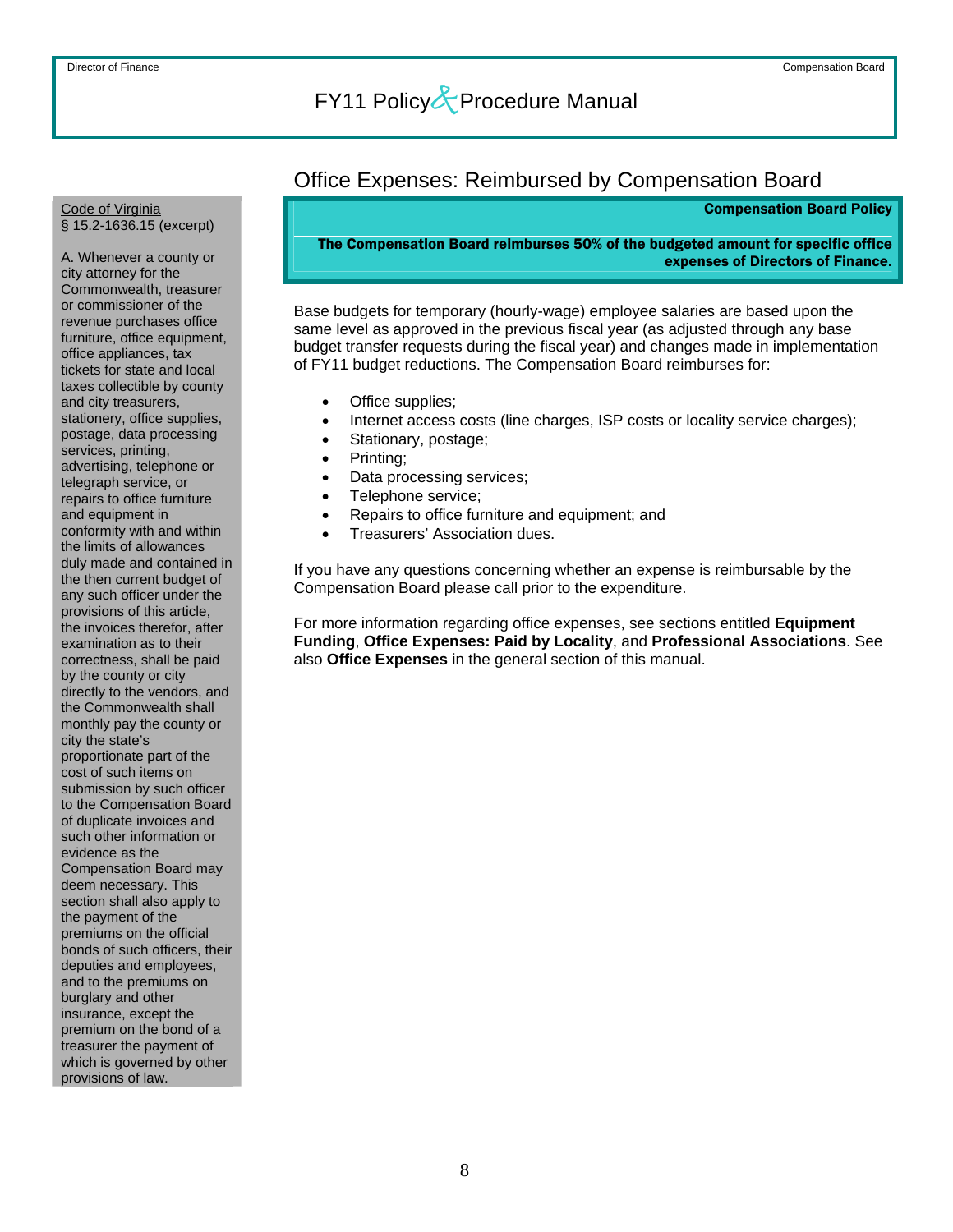### Office Expenses: Reimbursed by Compensation Board

Compensation Board Policy

The Compensation Board reimburses 50% of the budgeted amount for specific office expenses of Directors of Finance.

Base budgets for temporary (hourly-wage) employee salaries are based upon the same level as approved in the previous fiscal year (as adjusted through any base budget transfer requests during the fiscal year) and changes made in implementation of FY11 budget reductions. The Compensation Board reimburses for:

- Office supplies;
- Internet access costs (line charges, ISP costs or locality service charges);
- Stationary, postage;
- Printing;
- Data processing services;
- Telephone service;
- Repairs to office furniture and equipment; and
- Treasurers' Association dues.

If you have any questions concerning whether an expense is reimbursable by the Compensation Board please call prior to the expenditure.

For more information regarding office expenses, see sections entitled **Equipment Funding**, **Office Expenses: Paid by Locality**, and **Professional Associations**. See also **Office Expenses** in the general section of this manual.

<span id="page-8-0"></span>Code of Virginia § 15.2-1636.15 (excerpt)

A. Whenever a county or city attorney for the Commonwealth, treasurer or commissioner of the revenue purchases office furniture, office equipment, office appliances, tax tickets for state and local taxes collectible by county and city treasurers, stationery, office supplies, postage, data processing services, printing, advertising, telephone or telegraph service, or repairs to office furniture and equipment in conformity with and within the limits of allowances duly made and contained in the then current budget of any such officer under the provisions of this article, the invoices therefor, after examination as to their correctness, shall be paid by the county or city directly to the vendors, and the Commonwealth shall monthly pay the county or city the state's proportionate part of the cost of such items on submission by such officer to the Compensation Board of duplicate invoices and such other information or evidence as the Compensation Board may deem necessary. This section shall also apply to the payment of the premiums on the official bonds of such officers, their deputies and employees, and to the premiums on burglary and other insurance, except the premium on the bond of a treasurer the payment of which is governed by other provisions of law.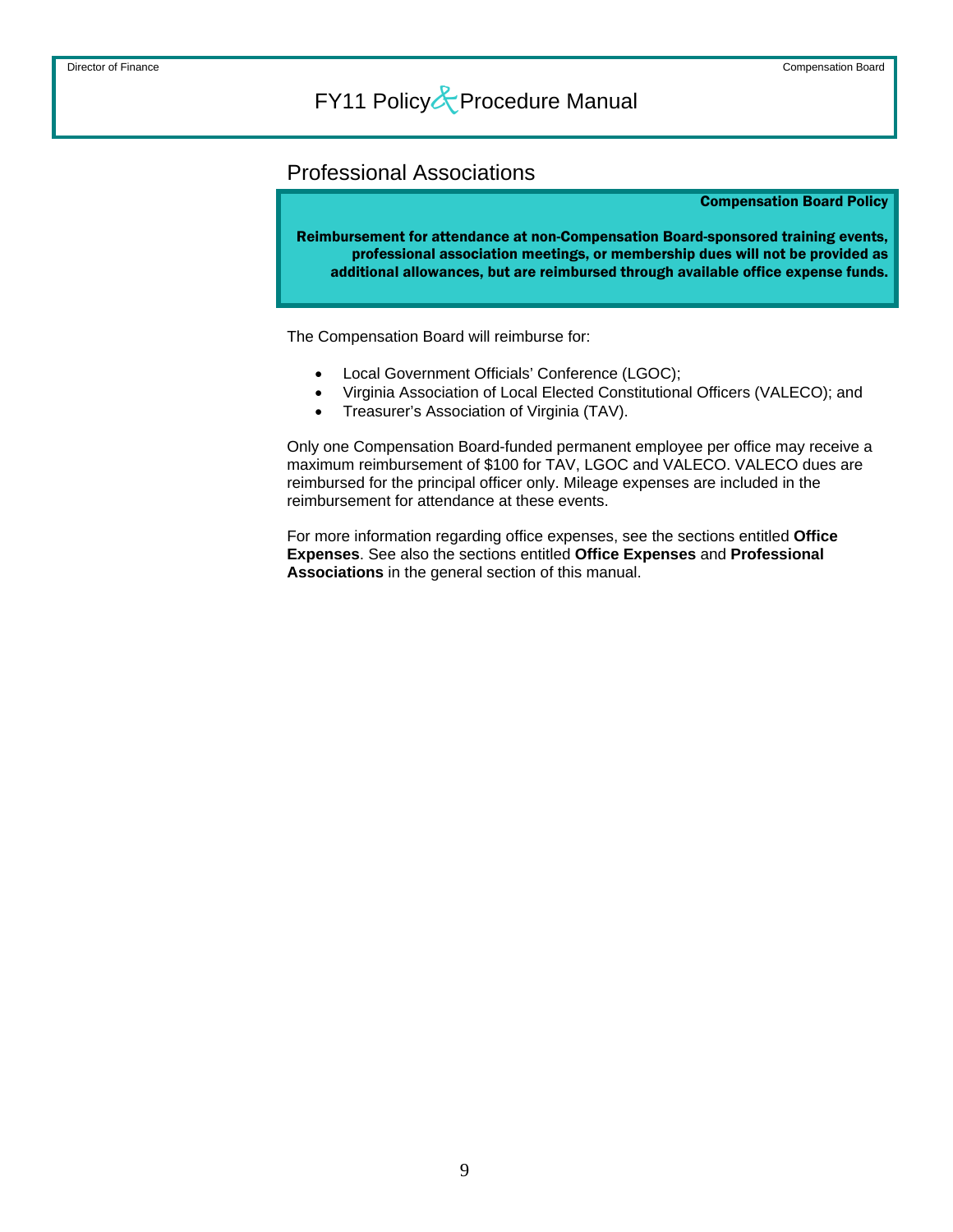### <span id="page-9-0"></span>Professional Associations

#### Compensation Board Policy

Reimbursement for attendance at non-Compensation Board-sponsored training events, professional association meetings, or membership dues will not be provided as additional allowances, but are reimbursed through available office expense funds.

The Compensation Board will reimburse for:

- Local Government Officials' Conference (LGOC);
- Virginia Association of Local Elected Constitutional Officers (VALECO); and
- Treasurer's Association of Virginia (TAV).

Only one Compensation Board-funded permanent employee per office may receive a maximum reimbursement of \$100 for TAV, LGOC and VALECO. VALECO dues are reimbursed for the principal officer only. Mileage expenses are included in the reimbursement for attendance at these events.

For more information regarding office expenses, see the sections entitled **Office Expenses**. See also the sections entitled **Office Expenses** and **Professional Associations** in the general section of this manual.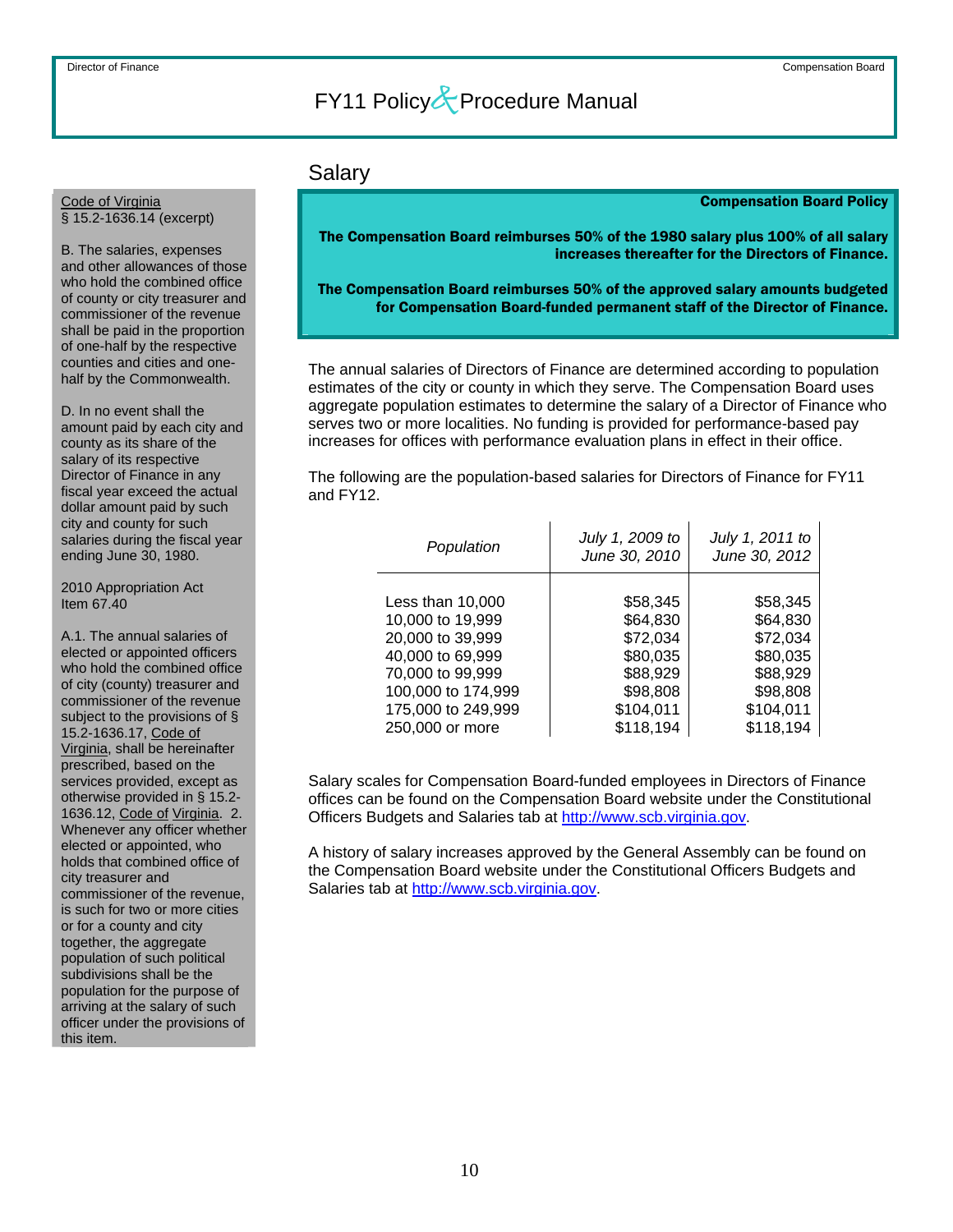### Salary

#### Compensation Board Policy

The Compensation Board reimburses 50% of the 1980 salary plus 100% of all salary increases thereafter for the Directors of Finance.

 The Compensation Board reimburses 50% of the approved salary amounts budgeted for Compensation Board-funded permanent staff of the Director of Finance.

The annual salaries of Directors of Finance are determined according to population estimates of the city or county in which they serve. The Compensation Board uses aggregate population estimates to determine the salary of a Director of Finance who serves two or more localities. No funding is provided for performance-based pay increases for offices with performance evaluation plans in effect in their office.

The following are the population-based salaries for Directors of Finance for FY11 and FY12.

| Population         | July 1, 2009 to<br>June 30, 2010 | July 1, 2011 to<br>June 30, 2012 |
|--------------------|----------------------------------|----------------------------------|
| Less than 10,000   | \$58,345                         | \$58,345                         |
| 10,000 to 19,999   | \$64,830                         | \$64,830                         |
| 20,000 to 39,999   | \$72,034                         | \$72,034                         |
| 40,000 to 69,999   | \$80,035                         | \$80,035                         |
| 70,000 to 99,999   | \$88,929                         | \$88,929                         |
| 100,000 to 174,999 | \$98,808                         | \$98,808                         |
| 175,000 to 249,999 | \$104,011                        | \$104,011                        |
| 250,000 or more    | \$118,194                        | \$118,194                        |

Salary scales for Compensation Board-funded employees in Directors of Finance offices can be found on the Compensation Board website under the Constitutional Officers Budgets and Salaries tab at [http://www.scb.virginia.gov.](http://www.scb.virginia.gov/)

A history of salary increases approved by the General Assembly can be found on the Compensation Board website under the Constitutional Officers Budgets and Salaries tab at [http://www.scb.virginia.gov](http://www.scb.virginia.gov/).

#### <span id="page-10-0"></span>Code of Virginia § 15.2-1636.14 (excerpt)

B. The salaries, expenses and other allowances of those who hold the combined office of county or city treasurer and commissioner of the revenue shall be paid in the proportion of one-half by the respective counties and cities and onehalf by the Commonwealth.

D. In no event shall the amount paid by each city and county as its share of the salary of its respective Director of Finance in any fiscal year exceed the actual dollar amount paid by such city and county for such salaries during the fiscal year ending June 30, 1980.

2010 Appropriation Act Item 67.40

A.1. The annual salaries of elected or appointed officers who hold the combined office of city (county) treasurer and commissioner of the revenue subject to the provisions of § 15.2-1636.17, Code of Virginia, shall be hereinafter prescribed, based on the services provided, except as otherwise provided in § 15.2- 1636.12, Code of Virginia. 2. Whenever any officer whether elected or appointed, who holds that combined office of city treasurer and commissioner of the revenue, is such for two or more cities or for a county and city together, the aggregate population of such political subdivisions shall be the population for the purpose of arriving at the salary of such officer under the provisions of this item.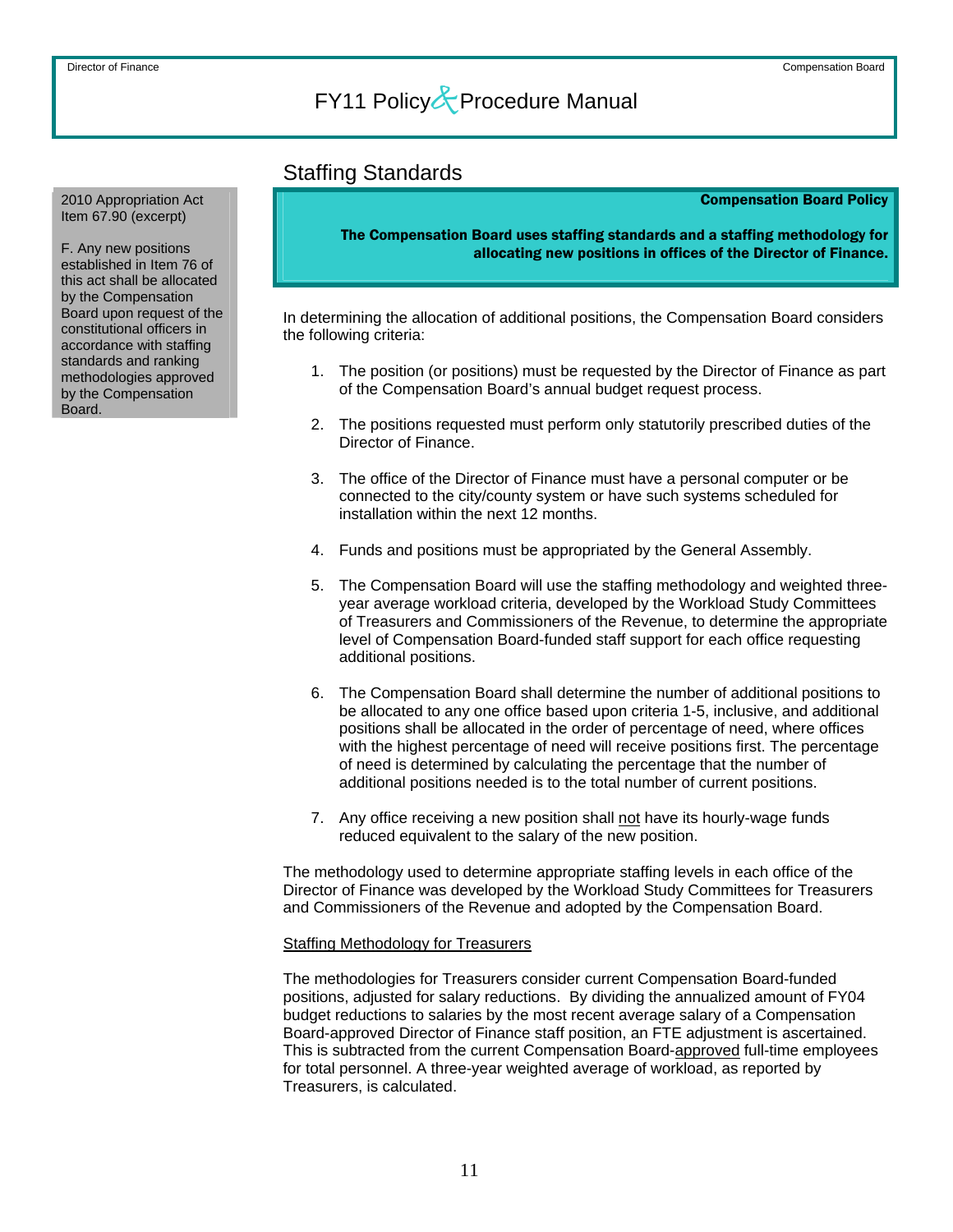### Staffing Standards

#### Compensation Board Policy

The Compensation Board uses staffing standards and a staffing methodology for allocating new positions in offices of the Director of Finance.

In determining the allocation of additional positions, the Compensation Board considers the following criteria:

- 1. The position (or positions) must be requested by the Director of Finance as part of the Compensation Board's annual budget request process.
- 2. The positions requested must perform only statutorily prescribed duties of the Director of Finance.
- 3. The office of the Director of Finance must have a personal computer or be connected to the city/county system or have such systems scheduled for installation within the next 12 months.
- 4. Funds and positions must be appropriated by the General Assembly.
- 5. The Compensation Board will use the staffing methodology and weighted threeyear average workload criteria, developed by the Workload Study Committees of Treasurers and Commissioners of the Revenue, to determine the appropriate level of Compensation Board-funded staff support for each office requesting additional positions.
- 6. The Compensation Board shall determine the number of additional positions to be allocated to any one office based upon criteria 1-5, inclusive, and additional positions shall be allocated in the order of percentage of need, where offices with the highest percentage of need will receive positions first. The percentage of need is determined by calculating the percentage that the number of additional positions needed is to the total number of current positions.
- 7. Any office receiving a new position shall not have its hourly-wage funds reduced equivalent to the salary of the new position.

The methodology used to determine appropriate staffing levels in each office of the Director of Finance was developed by the Workload Study Committees for Treasurers and Commissioners of the Revenue and adopted by the Compensation Board.

#### Staffing Methodology for Treasurers

The methodologies for Treasurers consider current Compensation Board-funded positions, adjusted for salary reductions. By dividing the annualized amount of FY04 budget reductions to salaries by the most recent average salary of a Compensation Board-approved Director of Finance staff position, an FTE adjustment is ascertained. This is subtracted from the current Compensation Board-approved full-time employees for total personnel. A three-year weighted average of workload, as reported by Treasurers, is calculated.

<span id="page-11-0"></span>2010 Appropriation Act Item 67.90 (excerpt)

F. Any new positions established in Item 76 of this act shall be allocated by the Compensation Board upon request of the constitutional officers in accordance with staffing standards and ranking methodologies approved by the Compensation Board.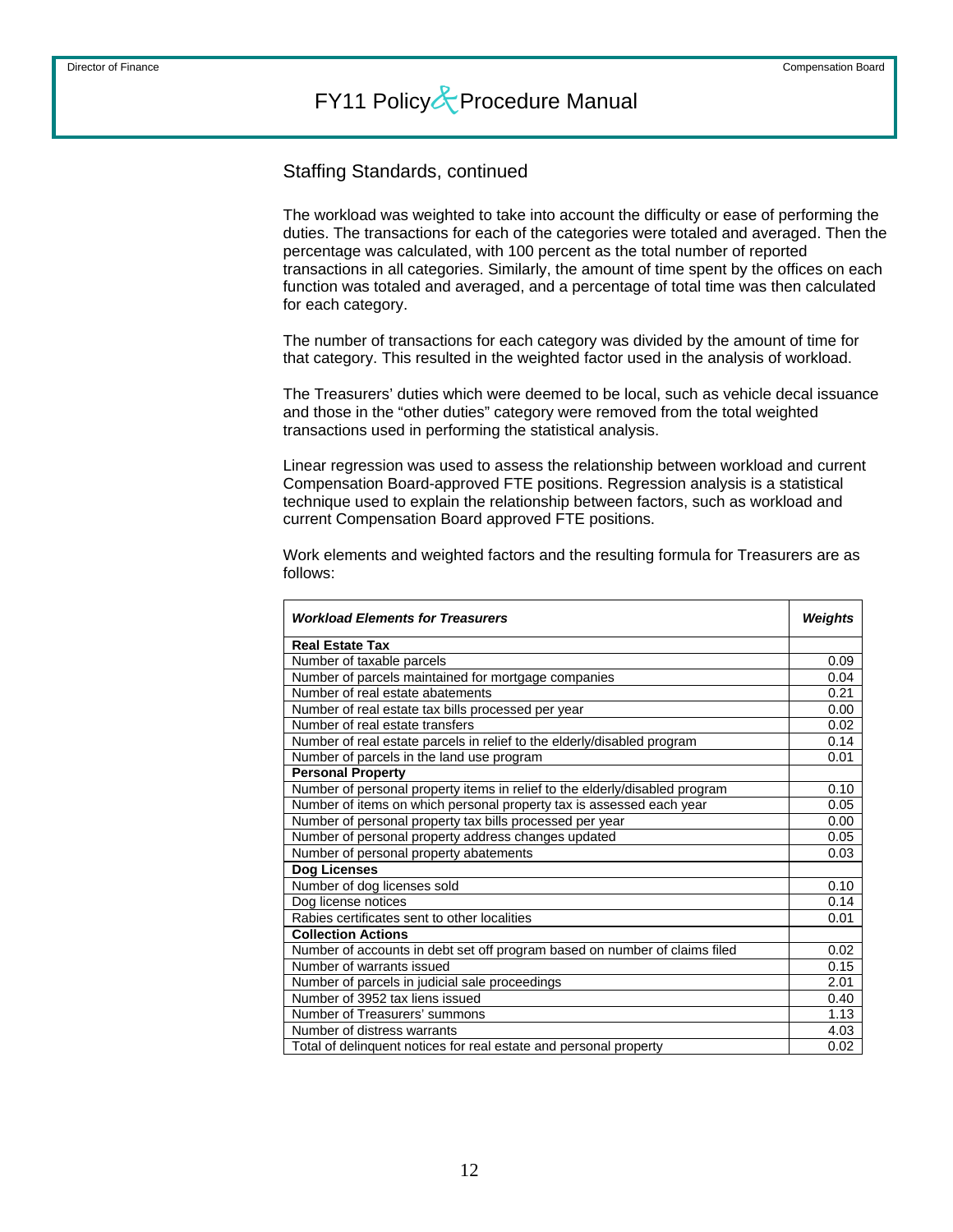### Staffing Standards, continued

The workload was weighted to take into account the difficulty or ease of performing the duties. The transactions for each of the categories were totaled and averaged. Then the percentage was calculated, with 100 percent as the total number of reported transactions in all categories. Similarly, the amount of time spent by the offices on each function was totaled and averaged, and a percentage of total time was then calculated for each category.

The number of transactions for each category was divided by the amount of time for that category. This resulted in the weighted factor used in the analysis of workload.

The Treasurers' duties which were deemed to be local, such as vehicle decal issuance and those in the "other duties" category were removed from the total weighted transactions used in performing the statistical analysis.

Linear regression was used to assess the relationship between workload and current Compensation Board-approved FTE positions. Regression analysis is a statistical technique used to explain the relationship between factors, such as workload and current Compensation Board approved FTE positions.

Work elements and weighted factors and the resulting formula for Treasurers are as follows:

| <b>Workload Elements for Treasurers</b>                                     |      |  |  |  |
|-----------------------------------------------------------------------------|------|--|--|--|
| <b>Real Estate Tax</b>                                                      |      |  |  |  |
| Number of taxable parcels                                                   | 0.09 |  |  |  |
| Number of parcels maintained for mortgage companies                         | 0.04 |  |  |  |
| Number of real estate abatements                                            | 0.21 |  |  |  |
| Number of real estate tax bills processed per year                          | 0.00 |  |  |  |
| Number of real estate transfers                                             | 0.02 |  |  |  |
| Number of real estate parcels in relief to the elderly/disabled program     | 0.14 |  |  |  |
| Number of parcels in the land use program                                   | 0.01 |  |  |  |
| <b>Personal Property</b>                                                    |      |  |  |  |
| Number of personal property items in relief to the elderly/disabled program | 0.10 |  |  |  |
| Number of items on which personal property tax is assessed each year        | 0.05 |  |  |  |
| Number of personal property tax bills processed per year                    | 0.00 |  |  |  |
| Number of personal property address changes updated                         | 0.05 |  |  |  |
| Number of personal property abatements                                      | 0.03 |  |  |  |
| Dog Licenses                                                                |      |  |  |  |
| Number of dog licenses sold                                                 | 0.10 |  |  |  |
| Dog license notices                                                         | 0.14 |  |  |  |
| Rabies certificates sent to other localities                                | 0.01 |  |  |  |
| <b>Collection Actions</b>                                                   |      |  |  |  |
| Number of accounts in debt set off program based on number of claims filed  | 0.02 |  |  |  |
| Number of warrants issued                                                   | 0.15 |  |  |  |
| Number of parcels in judicial sale proceedings                              | 2.01 |  |  |  |
| Number of 3952 tax liens issued                                             | 0.40 |  |  |  |
| Number of Treasurers' summons                                               | 1.13 |  |  |  |
| Number of distress warrants                                                 | 4.03 |  |  |  |
| Total of delinquent notices for real estate and personal property           | 0.02 |  |  |  |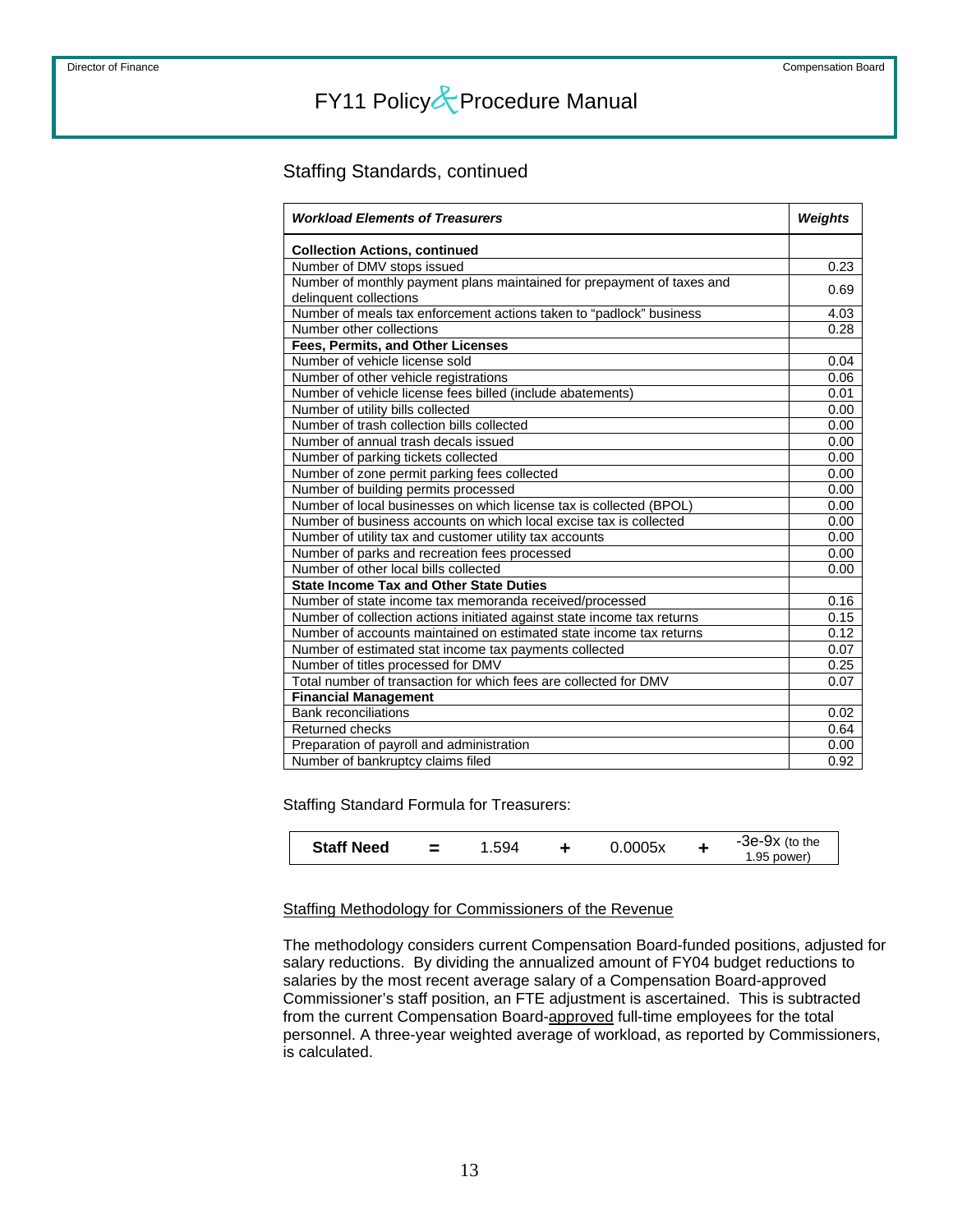### Staffing Standards, continued

| <b>Workload Elements of Treasurers</b>                                  | <b>Weights</b> |  |
|-------------------------------------------------------------------------|----------------|--|
| <b>Collection Actions, continued</b>                                    |                |  |
| Number of DMV stops issued                                              | 0.23           |  |
| Number of monthly payment plans maintained for prepayment of taxes and  | 0.69           |  |
| delinquent collections                                                  |                |  |
| Number of meals tax enforcement actions taken to "padlock" business     | 4.03           |  |
| Number other collections                                                | 0.28           |  |
| Fees, Permits, and Other Licenses                                       |                |  |
| Number of vehicle license sold                                          | 0.04           |  |
| Number of other vehicle registrations                                   | 0.06           |  |
| Number of vehicle license fees billed (include abatements)              | 0.01           |  |
| Number of utility bills collected                                       | 0.00           |  |
| Number of trash collection bills collected                              | 0.00           |  |
| Number of annual trash decals issued                                    | 0.00           |  |
| Number of parking tickets collected                                     | 0.00           |  |
| Number of zone permit parking fees collected                            | 0.00           |  |
| Number of building permits processed                                    | 0.00           |  |
| Number of local businesses on which license tax is collected (BPOL)     | 0.00           |  |
| Number of business accounts on which local excise tax is collected      | 0.00           |  |
| Number of utility tax and customer utility tax accounts                 | 0.00           |  |
| Number of parks and recreation fees processed                           | 0.00           |  |
| Number of other local bills collected                                   | 0.00           |  |
| <b>State Income Tax and Other State Duties</b>                          |                |  |
| Number of state income tax memoranda received/processed                 | 0.16           |  |
| Number of collection actions initiated against state income tax returns | 0.15           |  |
| Number of accounts maintained on estimated state income tax returns     | 0.12           |  |
| Number of estimated stat income tax payments collected                  | 0.07           |  |
| Number of titles processed for DMV                                      | 0.25           |  |
| Total number of transaction for which fees are collected for DMV        | 0.07           |  |
| <b>Financial Management</b>                                             |                |  |
| <b>Bank reconciliations</b>                                             | 0.02           |  |
| Returned checks                                                         | 0.64           |  |
| Preparation of payroll and administration                               | 0.00           |  |
| Number of bankruptcy claims filed                                       | 0.92           |  |

Staffing Standard Formula for Treasurers:

| <b>Staff Need</b> |  | 1.594 |  | 0.0005x |  | -3e-9x (to the<br>1.95 power) |
|-------------------|--|-------|--|---------|--|-------------------------------|
|-------------------|--|-------|--|---------|--|-------------------------------|

### Staffing Methodology for Commissioners of the Revenue

The methodology considers current Compensation Board-funded positions, adjusted for salary reductions. By dividing the annualized amount of FY04 budget reductions to salaries by the most recent average salary of a Compensation Board-approved Commissioner's staff position, an FTE adjustment is ascertained. This is subtracted from the current Compensation Board-approved full-time employees for the total personnel. A three-year weighted average of workload, as reported by Commissioners, is calculated.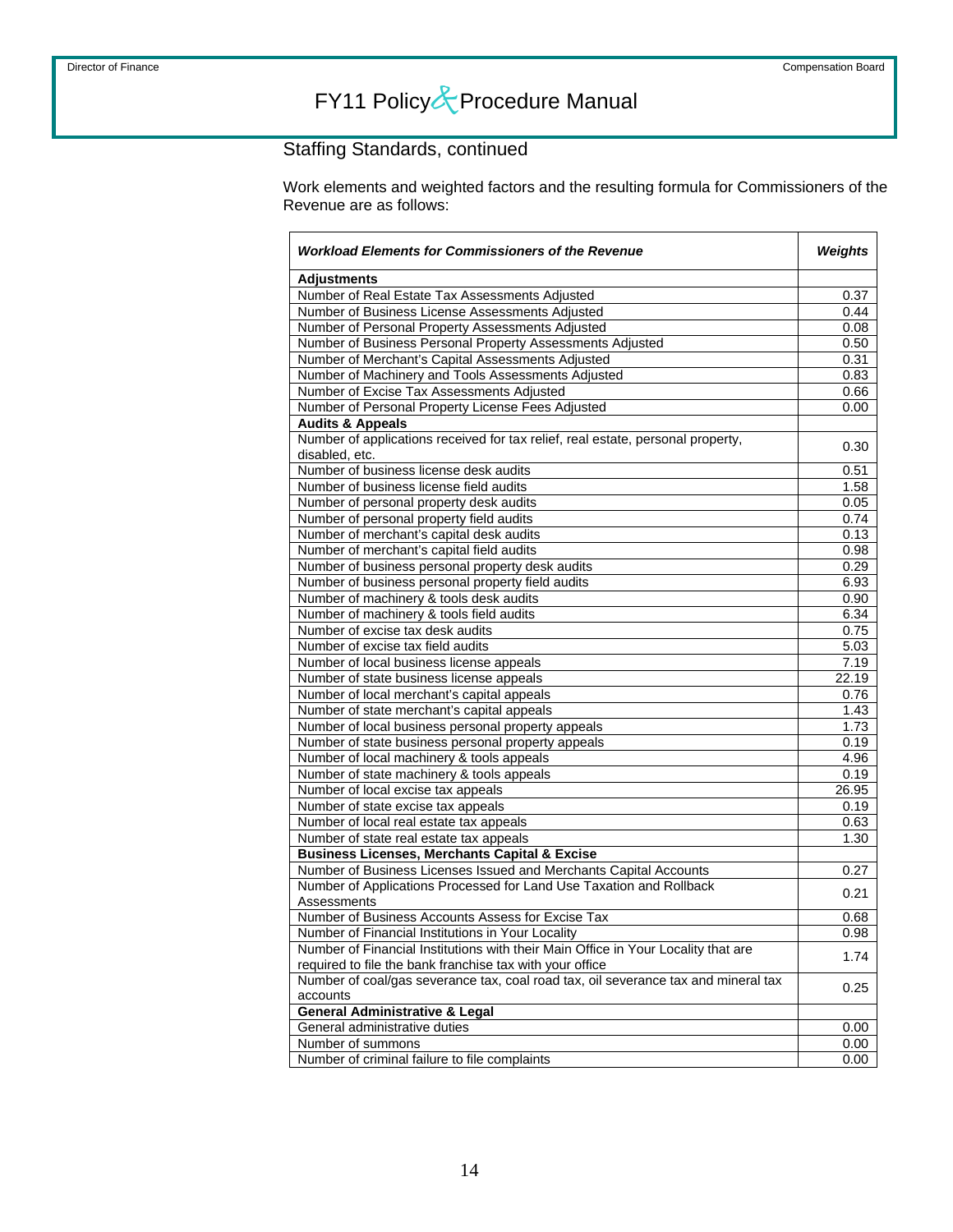## Staffing Standards, continued

Work elements and weighted factors and the resulting formula for Commissioners of the Revenue are as follows:

| <b>Workload Elements for Commissioners of the Revenue</b>                          |       |  |
|------------------------------------------------------------------------------------|-------|--|
| <b>Adjustments</b>                                                                 |       |  |
| Number of Real Estate Tax Assessments Adjusted                                     | 0.37  |  |
| Number of Business License Assessments Adjusted                                    | 0.44  |  |
| Number of Personal Property Assessments Adjusted                                   | 0.08  |  |
| Number of Business Personal Property Assessments Adjusted                          | 0.50  |  |
| Number of Merchant's Capital Assessments Adjusted                                  | 0.31  |  |
| Number of Machinery and Tools Assessments Adjusted                                 | 0.83  |  |
| Number of Excise Tax Assessments Adjusted                                          | 0.66  |  |
| Number of Personal Property License Fees Adjusted                                  | 0.00  |  |
| <b>Audits &amp; Appeals</b>                                                        |       |  |
| Number of applications received for tax relief, real estate, personal property,    | 0.30  |  |
| disabled, etc.                                                                     |       |  |
| Number of business license desk audits                                             | 0.51  |  |
| Number of business license field audits                                            | 1.58  |  |
| Number of personal property desk audits                                            | 0.05  |  |
| Number of personal property field audits                                           | 0.74  |  |
| Number of merchant's capital desk audits                                           | 0.13  |  |
| Number of merchant's capital field audits                                          | 0.98  |  |
| Number of business personal property desk audits                                   | 0.29  |  |
| Number of business personal property field audits                                  | 6.93  |  |
| Number of machinery & tools desk audits                                            | 0.90  |  |
| Number of machinery & tools field audits                                           | 6.34  |  |
| Number of excise tax desk audits                                                   | 0.75  |  |
| Number of excise tax field audits                                                  | 5.03  |  |
| Number of local business license appeals                                           | 7.19  |  |
| Number of state business license appeals                                           | 22.19 |  |
| Number of local merchant's capital appeals                                         | 0.76  |  |
| Number of state merchant's capital appeals                                         | 1.43  |  |
| Number of local business personal property appeals                                 | 1.73  |  |
| Number of state business personal property appeals                                 | 0.19  |  |
| Number of local machinery & tools appeals                                          | 4.96  |  |
| Number of state machinery & tools appeals                                          | 0.19  |  |
| Number of local excise tax appeals                                                 | 26.95 |  |
| Number of state excise tax appeals                                                 | 0.19  |  |
| Number of local real estate tax appeals                                            | 0.63  |  |
| Number of state real estate tax appeals                                            | 1.30  |  |
| <b>Business Licenses, Merchants Capital &amp; Excise</b>                           |       |  |
| Number of Business Licenses Issued and Merchants Capital Accounts                  | 0.27  |  |
| Number of Applications Processed for Land Use Taxation and Rollback                | 0.21  |  |
| Assessments                                                                        |       |  |
| Number of Business Accounts Assess for Excise Tax                                  | 0.68  |  |
| Number of Financial Institutions in Your Locality                                  | 0.98  |  |
| Number of Financial Institutions with their Main Office in Your Locality that are  | 1.74  |  |
| required to file the bank franchise tax with your office                           |       |  |
| Number of coal/gas severance tax, coal road tax, oil severance tax and mineral tax | 0.25  |  |
| accounts                                                                           |       |  |
| <b>General Administrative &amp; Legal</b>                                          |       |  |
| General administrative duties                                                      | 0.00  |  |
| Number of summons                                                                  | 0.00  |  |
| Number of criminal failure to file complaints                                      | 0.00  |  |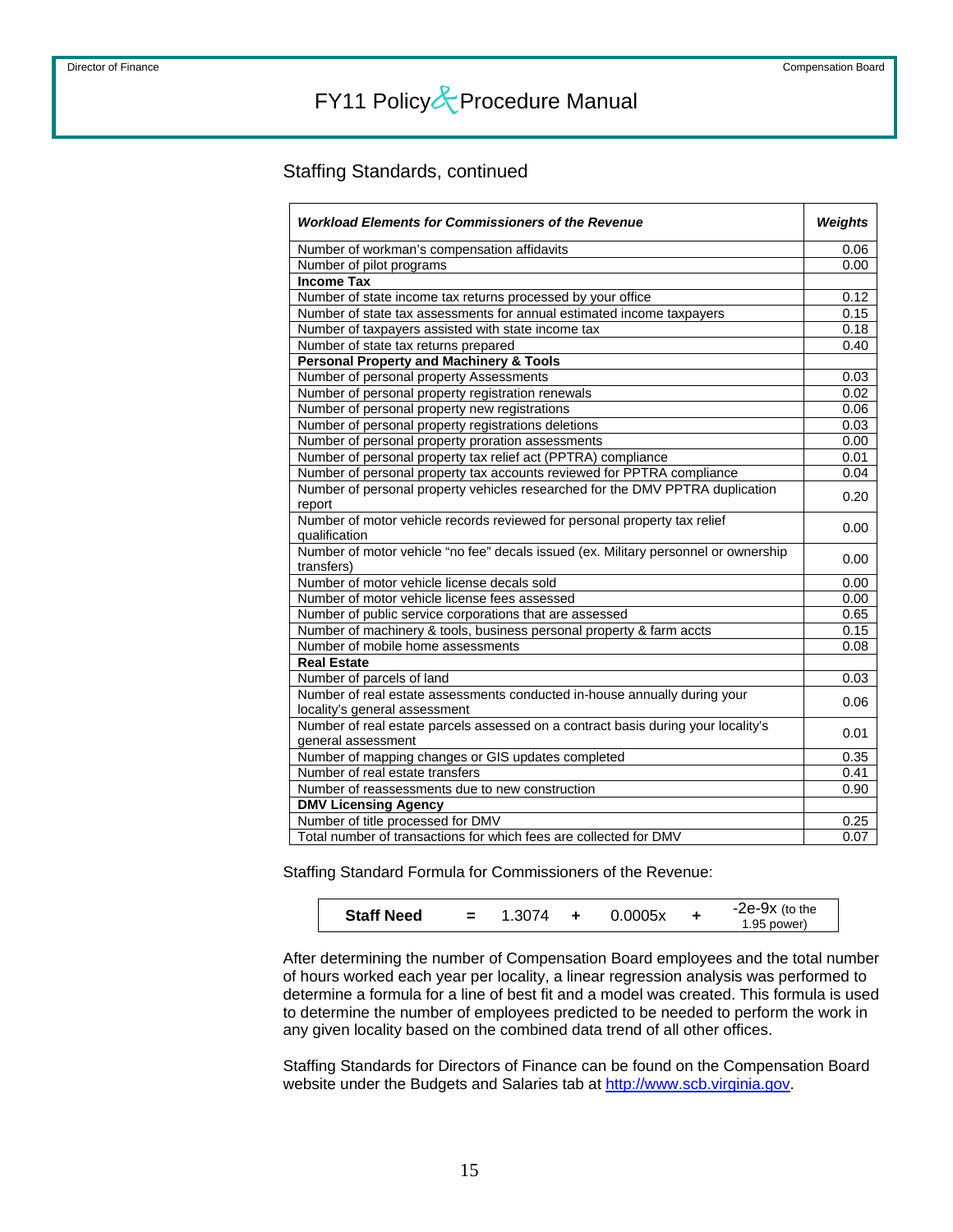### Staffing Standards, continued

| <b>Workload Elements for Commissioners of the Revenue</b>                           |      |  |  |  |
|-------------------------------------------------------------------------------------|------|--|--|--|
| Number of workman's compensation affidavits                                         | 0.06 |  |  |  |
| Number of pilot programs                                                            | 0.00 |  |  |  |
| <b>Income Tax</b>                                                                   |      |  |  |  |
| Number of state income tax returns processed by your office                         | 0.12 |  |  |  |
| Number of state tax assessments for annual estimated income taxpayers               | 0.15 |  |  |  |
| Number of taxpayers assisted with state income tax                                  | 0.18 |  |  |  |
| Number of state tax returns prepared                                                | 0.40 |  |  |  |
| <b>Personal Property and Machinery &amp; Tools</b>                                  |      |  |  |  |
| Number of personal property Assessments                                             | 0.03 |  |  |  |
| Number of personal property registration renewals                                   | 0.02 |  |  |  |
| Number of personal property new registrations                                       | 0.06 |  |  |  |
| Number of personal property registrations deletions                                 | 0.03 |  |  |  |
| Number of personal property proration assessments                                   | 0.00 |  |  |  |
| Number of personal property tax relief act (PPTRA) compliance                       | 0.01 |  |  |  |
| Number of personal property tax accounts reviewed for PPTRA compliance              | 0.04 |  |  |  |
| Number of personal property vehicles researched for the DMV PPTRA duplication       | 0.20 |  |  |  |
| report                                                                              |      |  |  |  |
| Number of motor vehicle records reviewed for personal property tax relief           | 0.00 |  |  |  |
| qualification                                                                       |      |  |  |  |
| Number of motor vehicle "no fee" decals issued (ex. Military personnel or ownership | 0.00 |  |  |  |
| transfers)                                                                          |      |  |  |  |
| Number of motor vehicle license decals sold                                         | 0.00 |  |  |  |
| Number of motor vehicle license fees assessed                                       | 0.00 |  |  |  |
| Number of public service corporations that are assessed                             | 0.65 |  |  |  |
| Number of machinery & tools, business personal property & farm accts                | 0.15 |  |  |  |
| Number of mobile home assessments                                                   | 0.08 |  |  |  |
| <b>Real Estate</b>                                                                  |      |  |  |  |
| Number of parcels of land                                                           | 0.03 |  |  |  |
| Number of real estate assessments conducted in-house annually during your           | 0.06 |  |  |  |
| locality's general assessment                                                       |      |  |  |  |
| Number of real estate parcels assessed on a contract basis during your locality's   | 0.01 |  |  |  |
| general assessment                                                                  |      |  |  |  |
| Number of mapping changes or GIS updates completed                                  | 0.35 |  |  |  |
| Number of real estate transfers                                                     | 0.41 |  |  |  |
| Number of reassessments due to new construction                                     | 0.90 |  |  |  |
| <b>DMV Licensing Agency</b>                                                         |      |  |  |  |
| Number of title processed for DMV                                                   | 0.25 |  |  |  |
| Total number of transactions for which fees are collected for DMV                   | 0.07 |  |  |  |

Staffing Standard Formula for Commissioners of the Revenue:

| <b>Staff Need</b> | 1.3074 | 0.0005x | $-2e-9x$ (to the<br>1.95 power) |
|-------------------|--------|---------|---------------------------------|
|                   |        |         |                                 |

After determining the number of Compensation Board employees and the total number of hours worked each year per locality, a linear regression analysis was performed to determine a formula for a line of best fit and a model was created. This formula is used to determine the number of employees predicted to be needed to perform the work in any given locality based on the combined data trend of all other offices.

Staffing Standards for Directors of Finance can be found on the Compensation Board website under the Budgets and Salaries tab at [http://www.scb.virginia.gov.](http://www.scb.virginia.gov/)